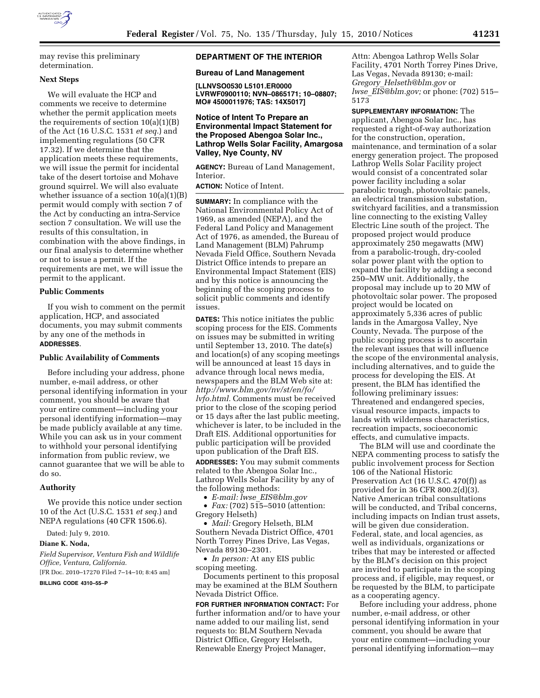

may revise this preliminary determination.

# **Next Steps**

We will evaluate the HCP and comments we receive to determine whether the permit application meets the requirements of section  $10(a)(1)(B)$ of the Act (16 U.S.C. 1531 *et seq.*) and implementing regulations (50 CFR 17.32). If we determine that the application meets these requirements, we will issue the permit for incidental take of the desert tortoise and Mohave ground squirrel. We will also evaluate whether issuance of a section  $10(a)(1)(B)$ permit would comply with section 7 of the Act by conducting an intra-Service section 7 consultation. We will use the results of this consultation, in combination with the above findings, in our final analysis to determine whether or not to issue a permit. If the requirements are met, we will issue the permit to the applicant.

## **Public Comments**

If you wish to comment on the permit application, HCP, and associated documents, you may submit comments by any one of the methods in **ADDRESSES**.

### **Public Availability of Comments**

Before including your address, phone number, e-mail address, or other personal identifying information in your comment, you should be aware that your entire comment—including your personal identifying information—may be made publicly available at any time. While you can ask us in your comment to withhold your personal identifying information from public review, we cannot guarantee that we will be able to do so.

# **Authority**

We provide this notice under section 10 of the Act (U.S.C. 1531 *et seq.*) and NEPA regulations (40 CFR 1506.6).

Dated: July 9, 2010.

# **Diane K. Noda,**

*Field Supervisor, Ventura Fish and Wildlife Office, Ventura, California.* 

[FR Doc. 2010–17270 Filed 7–14–10; 8:45 am]

**BILLING CODE 4310–55–P** 

## **DEPARTMENT OF THE INTERIOR**

# **Bureau of Land Management**

**[LLNVSO0530 L5101.ER0000 LVRWF0900110; NVN–0865171; 10–08807; MO# 4500011976; TAS: 14X5017]** 

## **Notice of Intent To Prepare an Environmental Impact Statement for the Proposed Abengoa Solar Inc., Lathrop Wells Solar Facility, Amargosa Valley, Nye County, NV**

**AGENCY:** Bureau of Land Management, Interior.

**ACTION:** Notice of Intent.

**SUMMARY:** In compliance with the National Environmental Policy Act of 1969, as amended (NEPA), and the Federal Land Policy and Management Act of 1976, as amended, the Bureau of Land Management (BLM) Pahrump Nevada Field Office, Southern Nevada District Office intends to prepare an Environmental Impact Statement (EIS) and by this notice is announcing the beginning of the scoping process to solicit public comments and identify issues.

**DATES:** This notice initiates the public scoping process for the EIS. Comments on issues may be submitted in writing until September 13, 2010. The date(s) and location(s) of any scoping meetings will be announced at least 15 days in advance through local news media, newspapers and the BLM Web site at: *http://www.blm.gov/nv/st/en/fo/ lvfo.html.* Comments must be received prior to the close of the scoping period or 15 days after the last public meeting, whichever is later, to be included in the Draft EIS. Additional opportunities for public participation will be provided upon publication of the Draft EIS.

**ADDRESSES:** You may submit comments related to the Abengoa Solar Inc., Lathrop Wells Solar Facility by any of the following methods:

• *E-mail: lwse*\_*EIS@blm.gov* 

• *Fax:* (702) 515–5010 (attention: Gregory Helseth)

• *Mail:* Gregory Helseth, BLM Southern Nevada District Office, 4701 North Torrey Pines Drive, Las Vegas, Nevada 89130–2301.

• *In person:* At any EIS public scoping meeting.

Documents pertinent to this proposal may be examined at the BLM Southern Nevada District Office.

**FOR FURTHER INFORMATION CONTACT:** For further information and/or to have your name added to our mailing list, send requests to: BLM Southern Nevada District Office, Gregory Helseth, Renewable Energy Project Manager,

Attn: Abengoa Lathrop Wells Solar Facility, 4701 North Torrey Pines Drive, Las Vegas, Nevada 89130; e-mail: *Gregory*\_*Helseth@blm.gov* or *lwse*\_*EIS@blm.gov;* or phone: (702) 515– 5173

**SUPPLEMENTARY INFORMATION:** The applicant, Abengoa Solar Inc., has requested a right-of-way authorization for the construction, operation, maintenance, and termination of a solar energy generation project. The proposed Lathrop Wells Solar Facility project would consist of a concentrated solar power facility including a solar parabolic trough, photovoltaic panels, an electrical transmission substation, switchyard facilities, and a transmission line connecting to the existing Valley Electric Line south of the project. The proposed project would produce approximately 250 megawatts (MW) from a parabolic-trough, dry-cooled solar power plant with the option to expand the facility by adding a second 250–MW unit. Additionally, the proposal may include up to 20 MW of photovoltaic solar power. The proposed project would be located on approximately 5,336 acres of public lands in the Amargosa Valley, Nye County, Nevada. The purpose of the public scoping process is to ascertain the relevant issues that will influence the scope of the environmental analysis, including alternatives, and to guide the process for developing the EIS. At present, the BLM has identified the following preliminary issues: Threatened and endangered species, visual resource impacts, impacts to lands with wilderness characteristics, recreation impacts, socioeconomic effects, and cumulative impacts.

The BLM will use and coordinate the NEPA commenting process to satisfy the public involvement process for Section 106 of the National Historic Preservation Act (16 U.S.C. 470(f)) as provided for in 36 CFR 800.2(d)(3). Native American tribal consultations will be conducted, and Tribal concerns, including impacts on Indian trust assets, will be given due consideration. Federal, state, and local agencies, as well as individuals, organizations or tribes that may be interested or affected by the BLM's decision on this project are invited to participate in the scoping process and, if eligible, may request, or be requested by the BLM, to participate as a cooperating agency.

Before including your address, phone number, e-mail address, or other personal identifying information in your comment, you should be aware that your entire comment—including your personal identifying information—may